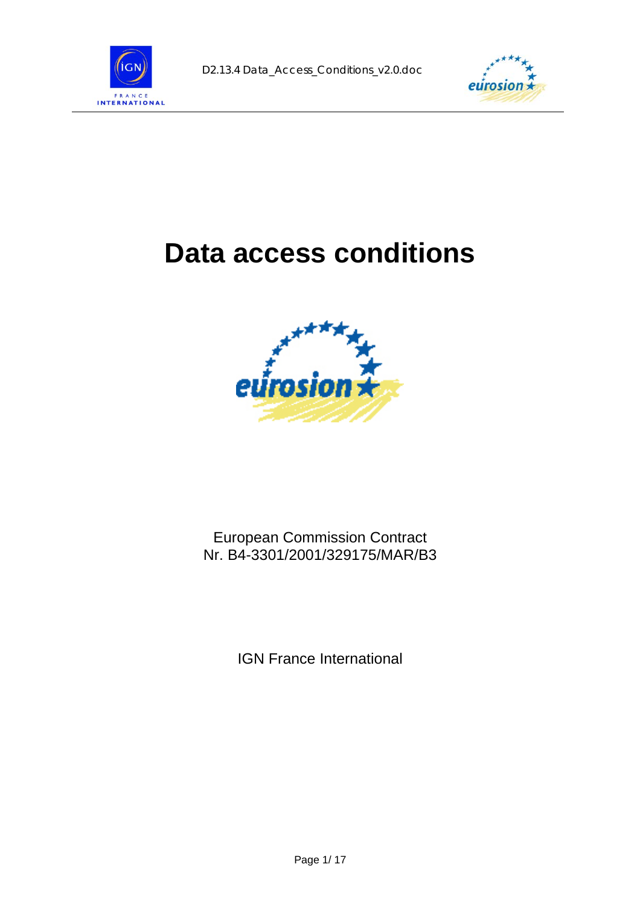



# **Data access conditions**



### European Commission Contract Nr. B4-3301/2001/329175/MAR/B3

IGN France International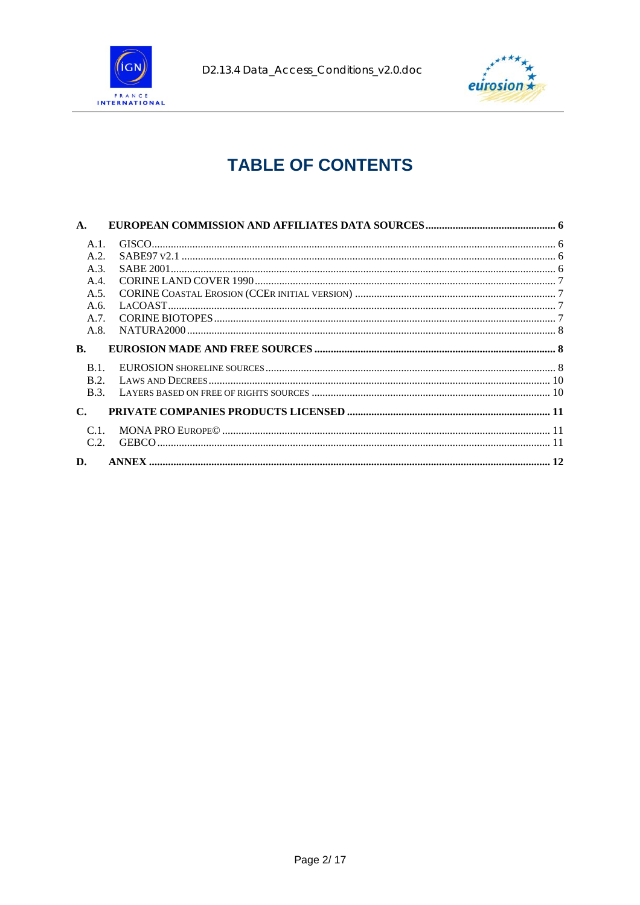



# **TABLE OF CONTENTS**

| A.             |  |
|----------------|--|
| $A.1$ .        |  |
| A.2.           |  |
| A.3.           |  |
| A.4.           |  |
| A.5.           |  |
| A.6.           |  |
| A.7.           |  |
| A.8.           |  |
| B.             |  |
| $B.1$ .        |  |
| B.2.           |  |
| <b>B.3.</b>    |  |
| $\mathbf{C}$ . |  |
| C <sub>1</sub> |  |
| C.2.           |  |
| D.             |  |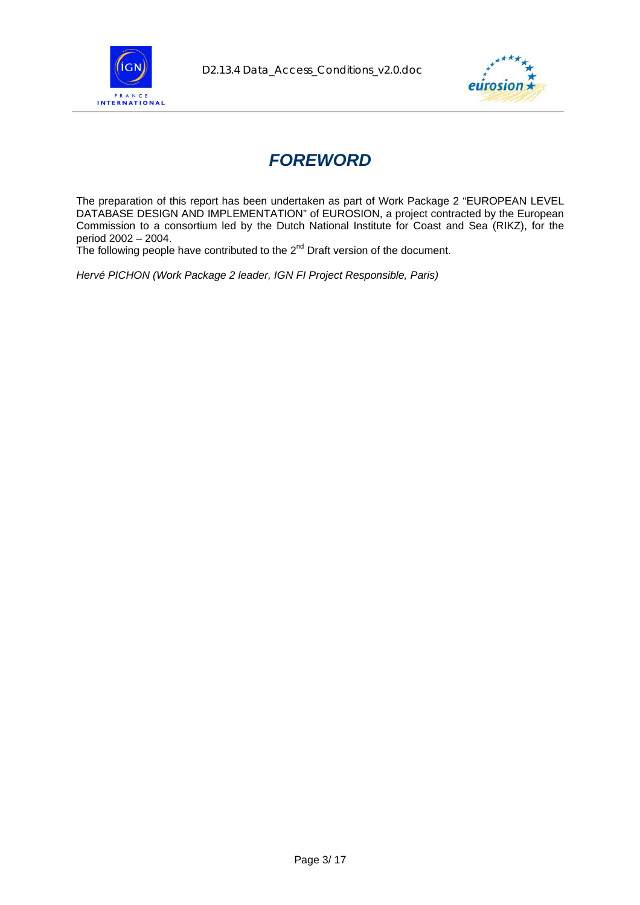



# *FOREWORD*

The preparation of this report has been undertaken as part of Work Package 2 "EUROPEAN LEVEL DATABASE DESIGN AND IMPLEMENTATION" of EUROSION, a project contracted by the European Commission to a consortium led by the Dutch National Institute for Coast and Sea (RIKZ), for the period 2002 – 2004.

The following people have contributed to the  $2^{nd}$  Draft version of the document.

*Hervé PICHON (Work Package 2 leader, IGN FI Project Responsible, Paris)*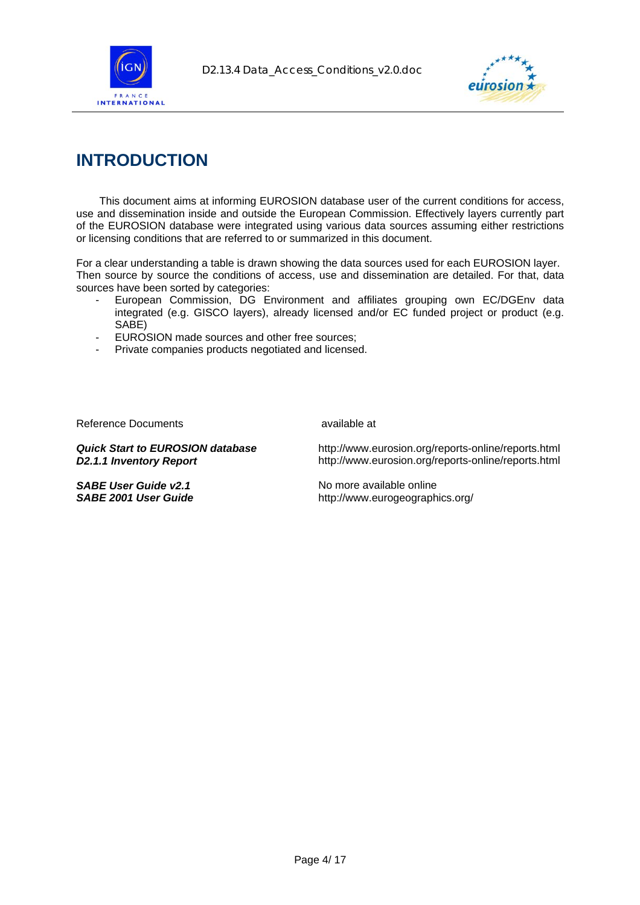



## **INTRODUCTION**

This document aims at informing EUROSION database user of the current conditions for access, use and dissemination inside and outside the European Commission. Effectively layers currently part of the EUROSION database were integrated using various data sources assuming either restrictions or licensing conditions that are referred to or summarized in this document.

For a clear understanding a table is drawn showing the data sources used for each EUROSION layer. Then source by source the conditions of access, use and dissemination are detailed. For that, data sources have been sorted by categories:

- European Commission, DG Environment and affiliates grouping own EC/DGEnv data integrated (e.g. GISCO layers), already licensed and/or EC funded project or product (e.g. SABE)
- EUROSION made sources and other free sources;
- Private companies products negotiated and licensed.

Reference Documents available at available at

**SABE User Guide v2.1** No more available online

*Quick Start to EUROSION database* http://www.eurosion.org/reports-online/reports.html **D2.1.1 Inventory Report** http://www.eurosion.org/reports-online/reports.html

*SABE 2001 User Guide* http://www.eurogeographics.org/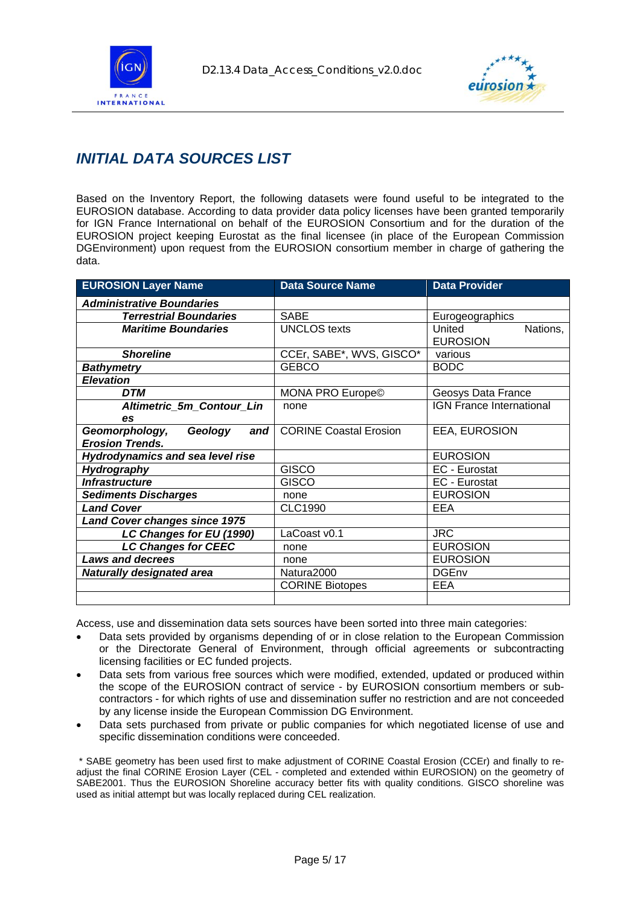



### *INITIAL DATA SOURCES LIST*

Based on the Inventory Report, the following datasets were found useful to be integrated to the EUROSION database. According to data provider data policy licenses have been granted temporarily for IGN France International on behalf of the EUROSION Consortium and for the duration of the EUROSION project keeping Eurostat as the final licensee (in place of the European Commission DGEnvironment) upon request from the EUROSION consortium member in charge of gathering the data.

| <b>EUROSION Layer Name</b>              | <b>Data Source Name</b>       | <b>Data Provider</b>            |
|-----------------------------------------|-------------------------------|---------------------------------|
| <b>Administrative Boundaries</b>        |                               |                                 |
| <b>Terrestrial Boundaries</b>           | <b>SABE</b>                   | Eurogeographics                 |
| <b>Maritime Boundaries</b>              | <b>UNCLOS</b> texts           | United<br>Nations,              |
|                                         |                               | <b>EUROSION</b>                 |
| <b>Shoreline</b>                        | CCEr, SABE*, WVS, GISCO*      | various                         |
| <b>Bathymetry</b>                       | <b>GEBCO</b>                  | <b>BODC</b>                     |
| <b>Elevation</b>                        |                               |                                 |
| <b>DTM</b>                              | <b>MONA PRO Europe©</b>       | Geosys Data France              |
| <b>Altimetric 5m Contour Lin</b>        | none                          | <b>IGN France International</b> |
| es                                      |                               |                                 |
| Geomorphology,<br>Geology<br>and        | <b>CORINE Coastal Erosion</b> | EEA, EUROSION                   |
| <b>Erosion Trends.</b>                  |                               |                                 |
| <b>Hydrodynamics and sea level rise</b> |                               | <b>EUROSION</b>                 |
| Hydrography                             | <b>GISCO</b>                  | EC - Eurostat                   |
| <b>Infrastructure</b>                   | <b>GISCO</b>                  | EC - Eurostat                   |
| <b>Sediments Discharges</b>             | none                          | <b>EUROSION</b>                 |
| <b>Land Cover</b>                       | <b>CLC1990</b>                | <b>EEA</b>                      |
| Land Cover changes since 1975           |                               |                                 |
| LC Changes for EU (1990)                | LaCoast v0.1                  | <b>JRC</b>                      |
| <b>LC Changes for CEEC</b>              | none                          | <b>EUROSION</b>                 |
| <b>Laws and decrees</b>                 | none                          | <b>EUROSION</b>                 |
| <b>Naturally designated area</b>        | Natura2000                    | <b>DGEnv</b>                    |
|                                         | <b>CORINE Biotopes</b>        | EEA                             |
|                                         |                               |                                 |

Access, use and dissemination data sets sources have been sorted into three main categories:

- Data sets provided by organisms depending of or in close relation to the European Commission or the Directorate General of Environment, through official agreements or subcontracting licensing facilities or EC funded projects.
- Data sets from various free sources which were modified, extended, updated or produced within the scope of the EUROSION contract of service - by EUROSION consortium members or subcontractors - for which rights of use and dissemination suffer no restriction and are not conceeded by any license inside the European Commission DG Environment.
- Data sets purchased from private or public companies for which negotiated license of use and specific dissemination conditions were conceeded.

 \* SABE geometry has been used first to make adjustment of CORINE Coastal Erosion (CCEr) and finally to readjust the final CORINE Erosion Layer (CEL - completed and extended within EUROSION) on the geometry of SABE2001. Thus the EUROSION Shoreline accuracy better fits with quality conditions. GISCO shoreline was used as initial attempt but was locally replaced during CEL realization.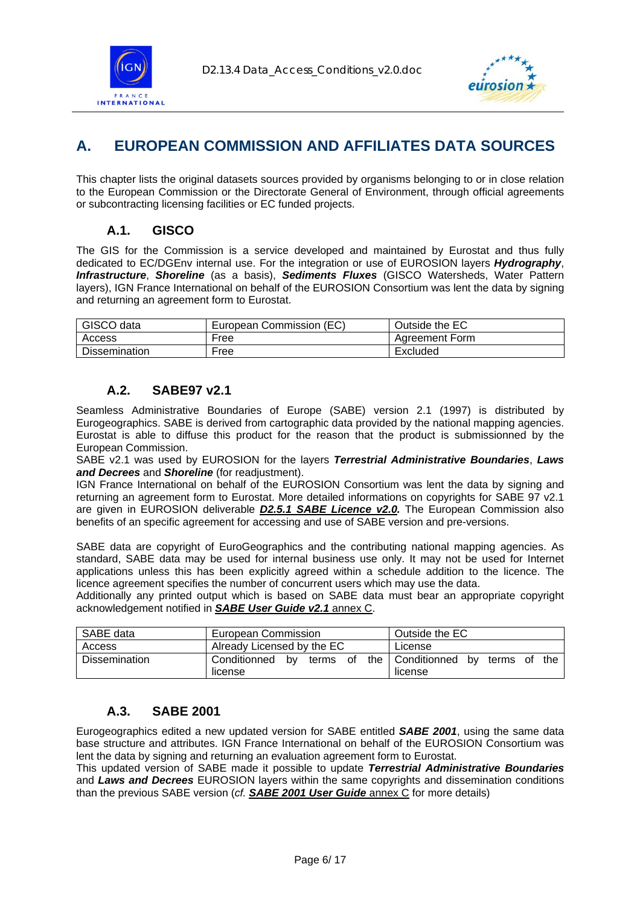<span id="page-5-0"></span>



### **A. EUROPEAN COMMISSION AND AFFILIATES DATA SOURCES**

This chapter lists the original datasets sources provided by organisms belonging to or in close relation to the European Commission or the Directorate General of Environment, through official agreements or subcontracting licensing facilities or EC funded projects.

### **A.1. GISCO**

The GIS for the Commission is a service developed and maintained by Eurostat and thus fully dedicated to EC/DGEnv internal use. For the integration or use of EUROSION layers *Hydrography*, *Infrastructure*, *Shoreline* (as a basis), *Sediments Fluxes* (GISCO Watersheds, Water Pattern layers), IGN France International on behalf of the EUROSION Consortium was lent the data by signing and returning an agreement form to Eurostat.

| GISCO data           | European Commission (EC) | Outside the EC        |
|----------------------|--------------------------|-----------------------|
| Access               | Free                     | <b>Agreement Form</b> |
| <b>Dissemination</b> | Free                     | Excluded              |

### **A.2. SABE97 v2.1**

Seamless Administrative Boundaries of Europe (SABE) version 2.1 (1997) is distributed by Eurogeographics. SABE is derived from cartographic data provided by the national mapping agencies. Eurostat is able to diffuse this product for the reason that the product is submissionned by the European Commission.

SABE v2.1 was used by EUROSION for the layers *Terrestrial Administrative Boundaries*, *Laws and Decrees* and *Shoreline* (for readjustment).

IGN France International on behalf of the EUROSION Consortium was lent the data by signing and returning an agreement form to Eurostat. More detailed informations on copyrights for SABE 97 v2.1 are given in EUROSION deliverable *D2.5.1 SABE Licence v2.0.* The European Commission also benefits of an specific agreement for accessing and use of SABE version and pre-versions.

SABE data are copyright of EuroGeographics and the contributing national mapping agencies. As standard, SABE data may be used for internal business use only. It may not be used for Internet applications unless this has been explicitly agreed within a schedule addition to the licence. The licence agreement specifies the number of concurrent users which may use the data.

Additionally any printed output which is based on SABE data must bear an appropriate copyright acknowledgement notified in *SABE User Guide v2.1* annex C.

| SABE data     | <b>European Commission</b>                | Outside the EC                              |
|---------------|-------------------------------------------|---------------------------------------------|
| Access        | Already Licensed by the EC                | License                                     |
| Dissemination | of<br>Conditionned by<br>terms<br>license | the Conditionned by terms of the<br>license |

#### **A.3. SABE 2001**

Eurogeographics edited a new updated version for SABE entitled *SABE 2001*, using the same data base structure and attributes. IGN France International on behalf of the EUROSION Consortium was lent the data by signing and returning an evaluation agreement form to Eurostat.

This updated version of SABE made it possible to update *Terrestrial Administrative Boundaries*  and *Laws and Decrees* EUROSION layers within the same copyrights and dissemination conditions than the previous SABE version (*cf. SABE 2001 User Guide* annex C for more details)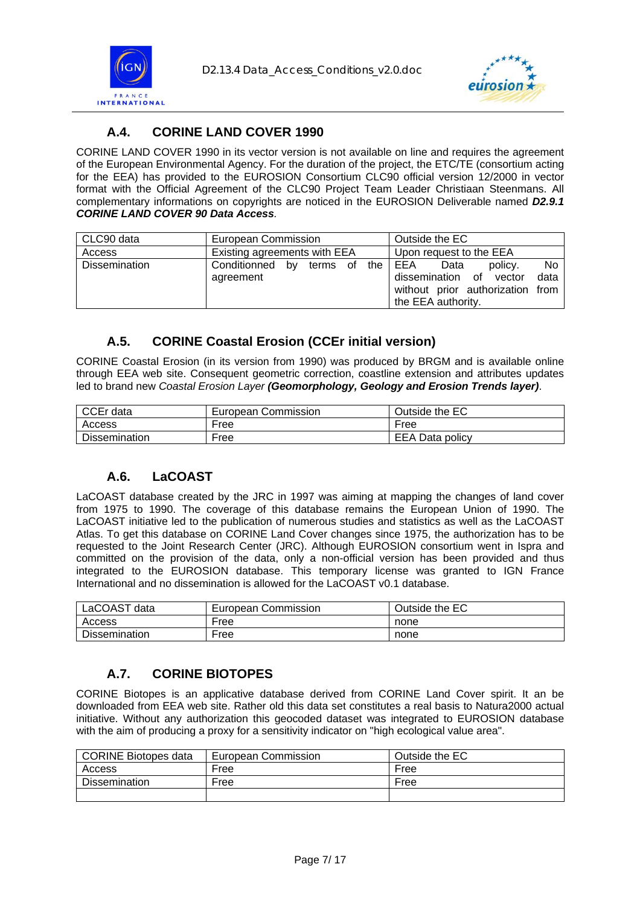<span id="page-6-0"></span>



### **A.4. CORINE LAND COVER 1990**

CORINE LAND COVER 1990 in its vector version is not available on line and requires the agreement of the European Environmental Agency. For the duration of the project, the ETC/TE (consortium acting for the EEA) has provided to the EUROSION Consortium CLC90 official version 12/2000 in vector format with the Official Agreement of the CLC90 Project Team Leader Christiaan Steenmans. All complementary informations on copyrights are noticed in the EUROSION Deliverable named *D2.9.1 CORINE LAND COVER 90 Data Access.*

| CLC90 data           | European Commission                          | Outside the EC                                                                                                                   |
|----------------------|----------------------------------------------|----------------------------------------------------------------------------------------------------------------------------------|
| Access               | Existing agreements with EEA                 | Upon request to the EEA                                                                                                          |
| <b>Dissemination</b> | Conditionned<br>by terms of the<br>agreement | <b>No</b><br>EEA<br>policy.<br>Data<br>dissemination of vector<br>data<br>without prior authorization from<br>the EEA authority. |

### **A.5. CORINE Coastal Erosion (CCEr initial version)**

CORINE Coastal Erosion (in its version from 1990) was produced by BRGM and is available online through EEA web site. Consequent geometric correction, coastline extension and attributes updates led to brand new *Coastal Erosion Layer (Geomorphology, Geology and Erosion Trends layer)*.

| CCEr data            | European Commission | Outside the EC  |
|----------------------|---------------------|-----------------|
| Access               | Free                | Free            |
| <b>Dissemination</b> | Free                | EEA Data policy |

### **A.6. LaCOAST**

LaCOAST database created by the JRC in 1997 was aiming at mapping the changes of land cover from 1975 to 1990. The coverage of this database remains the European Union of 1990. The LaCOAST initiative led to the publication of numerous studies and statistics as well as the LaCOAST Atlas. To get this database on CORINE Land Cover changes since 1975, the authorization has to be requested to the Joint Research Center (JRC). Although EUROSION consortium went in Ispra and committed on the provision of the data, only a non-official version has been provided and thus integrated to the EUROSION database. This temporary license was granted to IGN France International and no dissemination is allowed for the LaCOAST v0.1 database.

| LaCOAST data         | European Commission | Outside the EC |
|----------------------|---------------------|----------------|
| Access               | Free                | none           |
| <b>Dissemination</b> | Free                | none           |

### **A.7. CORINE BIOTOPES**

CORINE Biotopes is an applicative database derived from CORINE Land Cover spirit. It an be downloaded from EEA web site. Rather old this data set constitutes a real basis to Natura2000 actual initiative. Without any authorization this geocoded dataset was integrated to EUROSION database with the aim of producing a proxy for a sensitivity indicator on "high ecological value area".

| <b>CORINE Biotopes data</b> | European Commission | Outside the EC |
|-----------------------------|---------------------|----------------|
| Access                      | Free                | Free           |
| <b>Dissemination</b>        | Free                | Free           |
|                             |                     |                |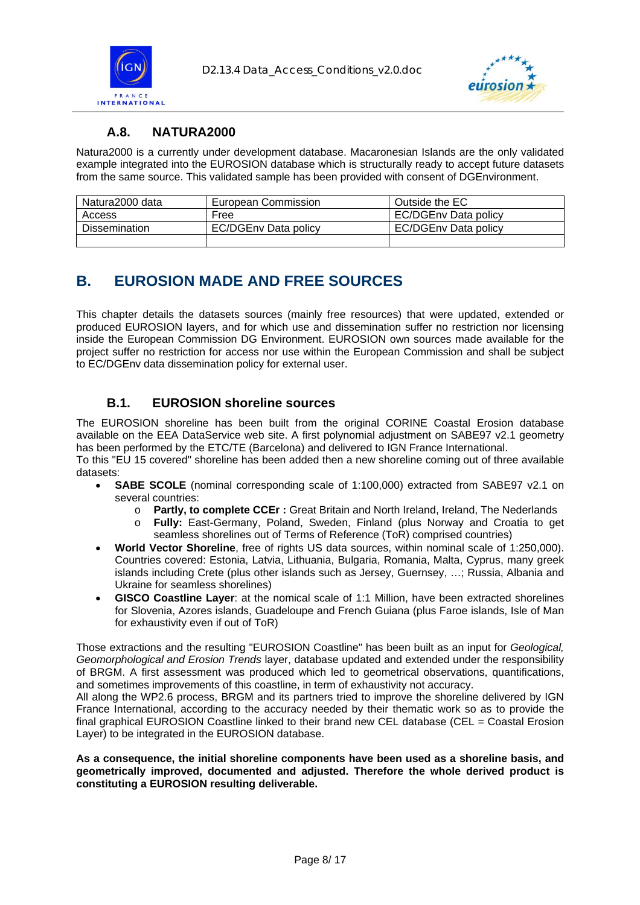<span id="page-7-0"></span>



### **A.8. NATURA2000**

Natura2000 is a currently under development database. Macaronesian Islands are the only validated example integrated into the EUROSION database which is structurally ready to accept future datasets from the same source. This validated sample has been provided with consent of DGEnvironment.

| Natura2000 data      | European Commission         | Outside the EC       |
|----------------------|-----------------------------|----------------------|
| Access               | Free                        | EC/DGEnv Data policy |
| <b>Dissemination</b> | <b>EC/DGEnv Data policy</b> | EC/DGEnv Data policy |
|                      |                             |                      |

### **B. EUROSION MADE AND FREE SOURCES**

This chapter details the datasets sources (mainly free resources) that were updated, extended or produced EUROSION layers, and for which use and dissemination suffer no restriction nor licensing inside the European Commission DG Environment. EUROSION own sources made available for the project suffer no restriction for access nor use within the European Commission and shall be subject to EC/DGEnv data dissemination policy for external user.

### **B.1. EUROSION shoreline sources**

The EUROSION shoreline has been built from the original CORINE Coastal Erosion database available on the EEA DataService web site. A first polynomial adjustment on SABE97 v2.1 geometry has been performed by the ETC/TE (Barcelona) and delivered to IGN France International. To this "EU 15 covered" shoreline has been added then a new shoreline coming out of three available datasets:

- **SABE SCOLE** (nominal corresponding scale of 1:100,000) extracted from SABE97 v2.1 on several countries:
	- o **Partly, to complete CCEr :** Great Britain and North Ireland, Ireland, The Nederlands
	- o **Fully:** East-Germany, Poland, Sweden, Finland (plus Norway and Croatia to get seamless shorelines out of Terms of Reference (ToR) comprised countries)
- **World Vector Shoreline**, free of rights US data sources, within nominal scale of 1:250,000). Countries covered: Estonia, Latvia, Lithuania, Bulgaria, Romania, Malta, Cyprus, many greek islands including Crete (plus other islands such as Jersey, Guernsey, …; Russia, Albania and Ukraine for seamless shorelines)
- **GISCO Coastline Layer**: at the nomical scale of 1:1 Million, have been extracted shorelines for Slovenia, Azores islands, Guadeloupe and French Guiana (plus Faroe islands, Isle of Man for exhaustivity even if out of ToR)

Those extractions and the resulting "EUROSION Coastline" has been built as an input for *Geological, Geomorphological and Erosion Trends* layer, database updated and extended under the responsibility of BRGM. A first assessment was produced which led to geometrical observations, quantifications, and sometimes improvements of this coastline, in term of exhaustivity not accuracy.

All along the WP2.6 process, BRGM and its partners tried to improve the shoreline delivered by IGN France International, according to the accuracy needed by their thematic work so as to provide the final graphical EUROSION Coastline linked to their brand new CEL database (CEL = Coastal Erosion Layer) to be integrated in the EUROSION database.

**As a consequence, the initial shoreline components have been used as a shoreline basis, and geometrically improved, documented and adjusted. Therefore the whole derived product is constituting a EUROSION resulting deliverable.**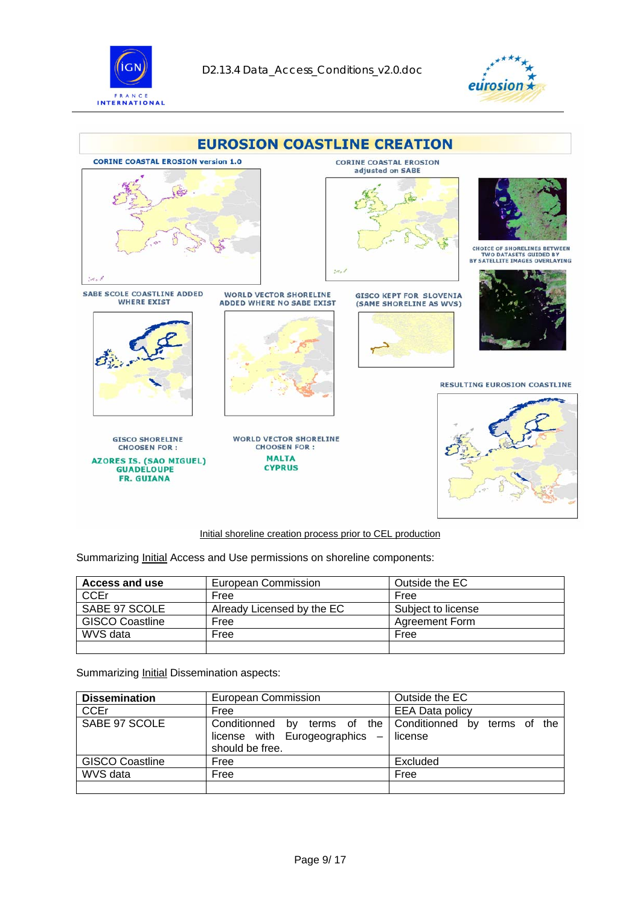





Initial shoreline creation process prior to CEL production

Summarizing *Initial Access and Use permissions on shoreline components:* 

| Access and use         | European Commission        | Outside the EC     |
|------------------------|----------------------------|--------------------|
| <b>CCEr</b>            | Free                       | Free               |
| SABE 97 SCOLE          | Already Licensed by the EC | Subject to license |
| <b>GISCO Coastline</b> | Free                       | Agreement Form     |
| WVS data               | Free                       | Free               |
|                        |                            |                    |

Summarizing **Initial Dissemination aspects:** 

| <b>Dissemination</b>   | European Commission                                                                                              | Outside the EC         |
|------------------------|------------------------------------------------------------------------------------------------------------------|------------------------|
| <b>CCEr</b>            | Free                                                                                                             | <b>EEA Data policy</b> |
| SABE 97 SCOLE          | Conditionned by terms of the Conditionned by terms of the<br>license with Eurogeographics $-$<br>should be free. | license                |
| <b>GISCO Coastline</b> | Free                                                                                                             | Excluded               |
| WVS data               | Free                                                                                                             | Free                   |
|                        |                                                                                                                  |                        |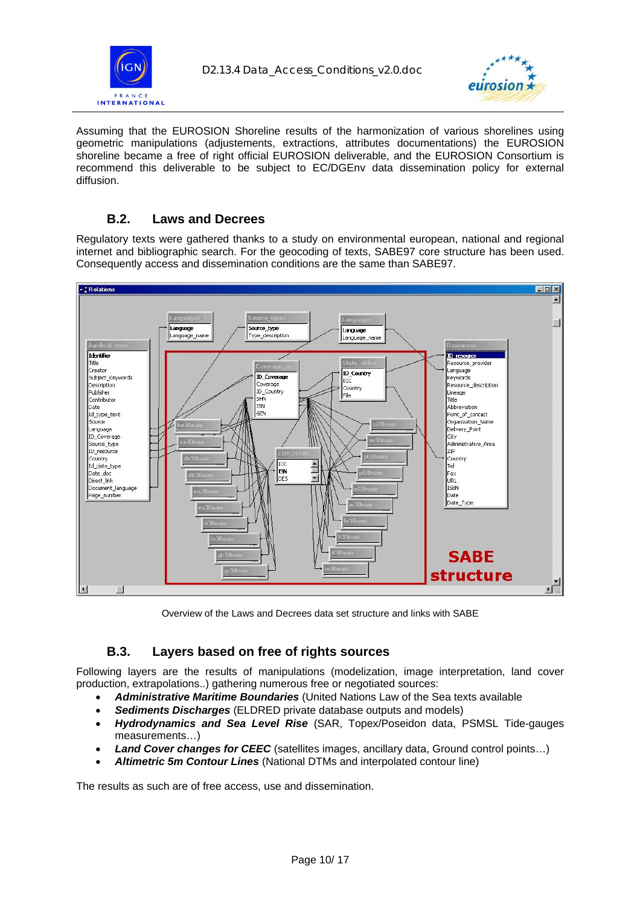<span id="page-9-0"></span>



Assuming that the EUROSION Shoreline results of the harmonization of various shorelines using geometric manipulations (adjustements, extractions, attributes documentations) the EUROSION shoreline became a free of right official EUROSION deliverable, and the EUROSION Consortium is recommend this deliverable to be subject to EC/DGEnv data dissemination policy for external diffusion.

### **B.2. Laws and Decrees**

Regulatory texts were gathered thanks to a study on environmental european, national and regional internet and bibliographic search. For the geocoding of texts, SABE97 core structure has been used. Consequently access and dissemination conditions are the same than SABE97.



Overview of the Laws and Decrees data set structure and links with SABE

### **B.3. Layers based on free of rights sources**

Following layers are the results of manipulations (modelization, image interpretation, land cover production, extrapolations..) gathering numerous free or negotiated sources:

- *Administrative Maritime Boundaries* (United Nations Law of the Sea texts available
- *Sediments Discharges* (ELDRED private database outputs and models)
- *Hydrodynamics and Sea Level Rise* (SAR, Topex/Poseidon data, PSMSL Tide-gauges measurements…)
- **Land Cover changes for CEEC** (satellites images, ancillary data, Ground control points...)
- *Altimetric 5m Contour Lines* (National DTMs and interpolated contour line)

The results as such are of free access, use and dissemination.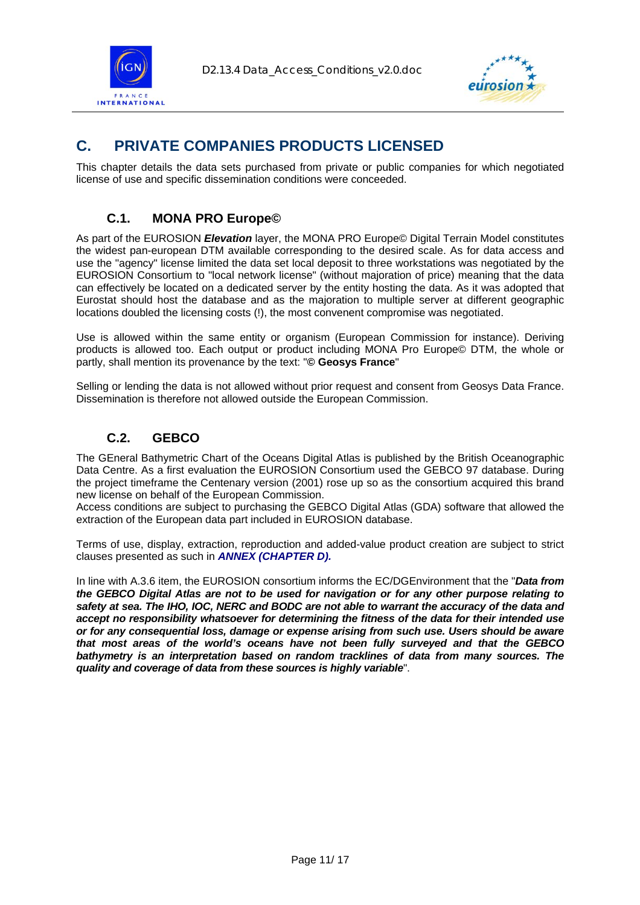<span id="page-10-0"></span>



### **C. PRIVATE COMPANIES PRODUCTS LICENSED**

This chapter details the data sets purchased from private or public companies for which negotiated license of use and specific dissemination conditions were conceeded.

### **C.1. MONA PRO Europe©**

As part of the EUROSION *Elevation* layer, the MONA PRO Europe© Digital Terrain Model constitutes the widest pan-european DTM available corresponding to the desired scale. As for data access and use the "agency" license limited the data set local deposit to three workstations was negotiated by the EUROSION Consortium to "local network license" (without majoration of price) meaning that the data can effectively be located on a dedicated server by the entity hosting the data. As it was adopted that Eurostat should host the database and as the majoration to multiple server at different geographic locations doubled the licensing costs (!), the most convenent compromise was negotiated.

Use is allowed within the same entity or organism (European Commission for instance). Deriving products is allowed too. Each output or product including MONA Pro Europe© DTM, the whole or partly, shall mention its provenance by the text: "**© Geosys France**"

Selling or lending the data is not allowed without prior request and consent from Geosys Data France. Dissemination is therefore not allowed outside the European Commission.

#### **C.2. GEBCO**

The GEneral Bathymetric Chart of the Oceans Digital Atlas is published by the British Oceanographic Data Centre. As a first evaluation the EUROSION Consortium used the GEBCO 97 database. During the project timeframe the Centenary version (2001) rose up so as the consortium acquired this brand new license on behalf of the European Commission.

Access conditions are subject to purchasing the GEBCO Digital Atlas (GDA) software that allowed the extraction of the European data part included in EUROSION database.

Terms of use, display, extraction, reproduction and added-value product creation are subject to strict clauses presented as such in *[ANNEX \(CHAPTER D\)](#page-11-0).*

In line with A.3.6 item, the EUROSION consortium informs the EC/DGEnvironment that the "*Data from the GEBCO Digital Atlas are not to be used for navigation or for any other purpose relating to safety at sea. The IHO, IOC, NERC and BODC are not able to warrant the accuracy of the data and accept no responsibility whatsoever for determining the fitness of the data for their intended use or for any consequential loss, damage or expense arising from such use. Users should be aware that most areas of the world's oceans have not been fully surveyed and that the GEBCO bathymetry is an interpretation based on random tracklines of data from many sources. The quality and coverage of data from these sources is highly variable*".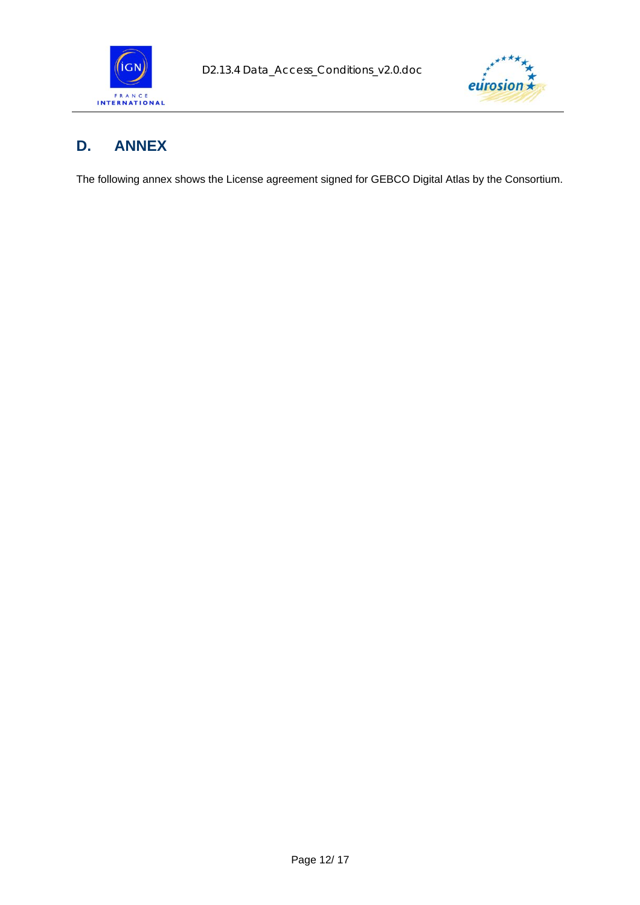<span id="page-11-0"></span>



### **D. ANNEX**

The following annex shows the License agreement signed for GEBCO Digital Atlas by the Consortium.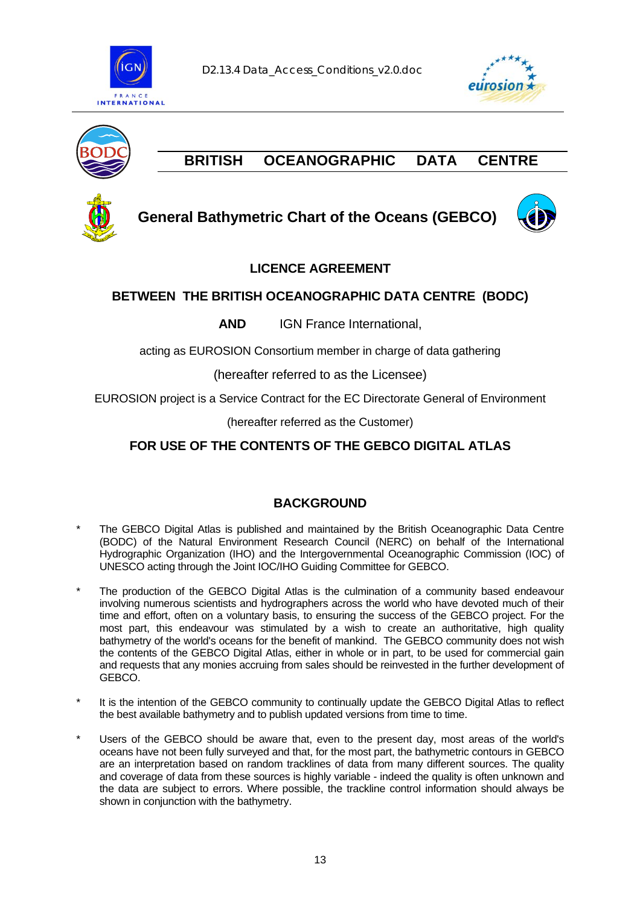





### **BRITISH OCEANOGRAPHIC DATA CENTRE**



### **General Bathymetric Chart of the Oceans (GEBCO)**



### **LICENCE AGREEMENT**

### **BETWEEN THE BRITISH OCEANOGRAPHIC DATA CENTRE (BODC)**

**AND** IGN France International,

acting as EUROSION Consortium member in charge of data gathering

(hereafter referred to as the Licensee)

EUROSION project is a Service Contract for the EC Directorate General of Environment

(hereafter referred as the Customer)

### **FOR USE OF THE CONTENTS OF THE GEBCO DIGITAL ATLAS**

### **BACKGROUND**

- The GEBCO Digital Atlas is published and maintained by the British Oceanographic Data Centre (BODC) of the Natural Environment Research Council (NERC) on behalf of the International Hydrographic Organization (IHO) and the Intergovernmental Oceanographic Commission (IOC) of UNESCO acting through the Joint IOC/IHO Guiding Committee for GEBCO.
- The production of the GEBCO Digital Atlas is the culmination of a community based endeavour involving numerous scientists and hydrographers across the world who have devoted much of their time and effort, often on a voluntary basis, to ensuring the success of the GEBCO project. For the most part, this endeavour was stimulated by a wish to create an authoritative, high quality bathymetry of the world's oceans for the benefit of mankind. The GEBCO community does not wish the contents of the GEBCO Digital Atlas, either in whole or in part, to be used for commercial gain and requests that any monies accruing from sales should be reinvested in the further development of GEBCO.
- It is the intention of the GEBCO community to continually update the GEBCO Digital Atlas to reflect the best available bathymetry and to publish updated versions from time to time.
- Users of the GEBCO should be aware that, even to the present day, most areas of the world's oceans have not been fully surveyed and that, for the most part, the bathymetric contours in GEBCO are an interpretation based on random tracklines of data from many different sources. The quality and coverage of data from these sources is highly variable - indeed the quality is often unknown and the data are subject to errors. Where possible, the trackline control information should always be shown in conjunction with the bathymetry.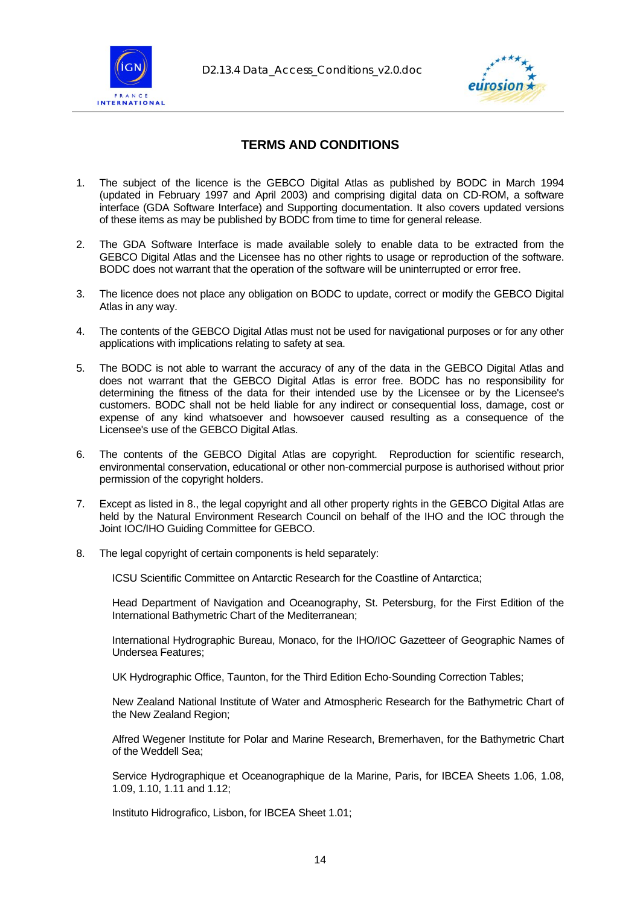



### **TERMS AND CONDITIONS**

- 1. The subject of the licence is the GEBCO Digital Atlas as published by BODC in March 1994 (updated in February 1997 and April 2003) and comprising digital data on CD-ROM, a software interface (GDA Software Interface) and Supporting documentation. It also covers updated versions of these items as may be published by BODC from time to time for general release.
- 2. The GDA Software Interface is made available solely to enable data to be extracted from the GEBCO Digital Atlas and the Licensee has no other rights to usage or reproduction of the software. BODC does not warrant that the operation of the software will be uninterrupted or error free.
- 3. The licence does not place any obligation on BODC to update, correct or modify the GEBCO Digital Atlas in any way.
- 4. The contents of the GEBCO Digital Atlas must not be used for navigational purposes or for any other applications with implications relating to safety at sea.
- 5. The BODC is not able to warrant the accuracy of any of the data in the GEBCO Digital Atlas and does not warrant that the GEBCO Digital Atlas is error free. BODC has no responsibility for determining the fitness of the data for their intended use by the Licensee or by the Licensee's customers. BODC shall not be held liable for any indirect or consequential loss, damage, cost or expense of any kind whatsoever and howsoever caused resulting as a consequence of the Licensee's use of the GEBCO Digital Atlas.
- 6. The contents of the GEBCO Digital Atlas are copyright. Reproduction for scientific research, environmental conservation, educational or other non-commercial purpose is authorised without prior permission of the copyright holders.
- 7. Except as listed in 8., the legal copyright and all other property rights in the GEBCO Digital Atlas are held by the Natural Environment Research Council on behalf of the IHO and the IOC through the Joint IOC/IHO Guiding Committee for GEBCO.
- 8. The legal copyright of certain components is held separately:

ICSU Scientific Committee on Antarctic Research for the Coastline of Antarctica;

 Head Department of Navigation and Oceanography, St. Petersburg, for the First Edition of the International Bathymetric Chart of the Mediterranean;

 International Hydrographic Bureau, Monaco, for the IHO/IOC Gazetteer of Geographic Names of Undersea Features;

UK Hydrographic Office, Taunton, for the Third Edition Echo-Sounding Correction Tables;

 New Zealand National Institute of Water and Atmospheric Research for the Bathymetric Chart of the New Zealand Region;

 Alfred Wegener Institute for Polar and Marine Research, Bremerhaven, for the Bathymetric Chart of the Weddell Sea;

 Service Hydrographique et Oceanographique de la Marine, Paris, for IBCEA Sheets 1.06, 1.08, 1.09, 1.10, 1.11 and 1.12;

Instituto Hidrografico, Lisbon, for IBCEA Sheet 1.01;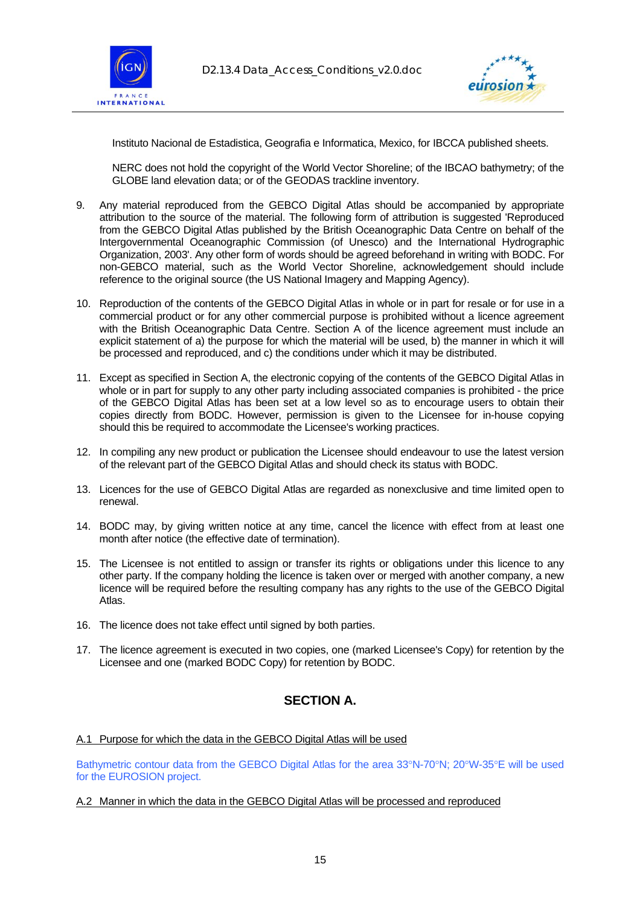



Instituto Nacional de Estadistica, Geografia e Informatica, Mexico, for IBCCA published sheets.

 NERC does not hold the copyright of the World Vector Shoreline; of the IBCAO bathymetry; of the GLOBE land elevation data; or of the GEODAS trackline inventory.

- 9. Any material reproduced from the GEBCO Digital Atlas should be accompanied by appropriate attribution to the source of the material. The following form of attribution is suggested 'Reproduced from the GEBCO Digital Atlas published by the British Oceanographic Data Centre on behalf of the Intergovernmental Oceanographic Commission (of Unesco) and the International Hydrographic Organization, 2003'. Any other form of words should be agreed beforehand in writing with BODC. For non-GEBCO material, such as the World Vector Shoreline, acknowledgement should include reference to the original source (the US National Imagery and Mapping Agency).
- 10. Reproduction of the contents of the GEBCO Digital Atlas in whole or in part for resale or for use in a commercial product or for any other commercial purpose is prohibited without a licence agreement with the British Oceanographic Data Centre. Section A of the licence agreement must include an explicit statement of a) the purpose for which the material will be used, b) the manner in which it will be processed and reproduced, and c) the conditions under which it may be distributed.
- 11. Except as specified in Section A, the electronic copying of the contents of the GEBCO Digital Atlas in whole or in part for supply to any other party including associated companies is prohibited - the price of the GEBCO Digital Atlas has been set at a low level so as to encourage users to obtain their copies directly from BODC. However, permission is given to the Licensee for in-house copying should this be required to accommodate the Licensee's working practices.
- 12. In compiling any new product or publication the Licensee should endeavour to use the latest version of the relevant part of the GEBCO Digital Atlas and should check its status with BODC.
- 13. Licences for the use of GEBCO Digital Atlas are regarded as nonexclusive and time limited open to renewal.
- 14. BODC may, by giving written notice at any time, cancel the licence with effect from at least one month after notice (the effective date of termination).
- 15. The Licensee is not entitled to assign or transfer its rights or obligations under this licence to any other party. If the company holding the licence is taken over or merged with another company, a new licence will be required before the resulting company has any rights to the use of the GEBCO Digital Atlas.
- 16. The licence does not take effect until signed by both parties.
- 17. The licence agreement is executed in two copies, one (marked Licensee's Copy) for retention by the Licensee and one (marked BODC Copy) for retention by BODC.

### **SECTION A.**

A.1 Purpose for which the data in the GEBCO Digital Atlas will be used

Bathymetric contour data from the GEBCO Digital Atlas for the area 33°N-70°N; 20°W-35°E will be used for the EUROSION project.

#### A.2 Manner in which the data in the GEBCO Digital Atlas will be processed and reproduced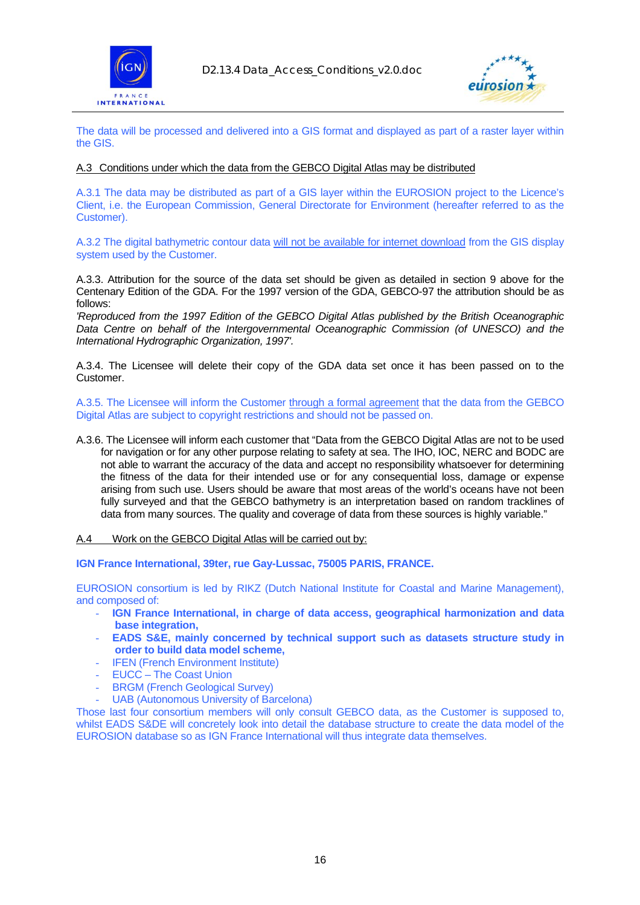



The data will be processed and delivered into a GIS format and displayed as part of a raster layer within the GIS.

#### A.3 Conditions under which the data from the GEBCO Digital Atlas may be distributed

A.3.1 The data may be distributed as part of a GIS layer within the EUROSION project to the Licence's Client, i.e. the European Commission, General Directorate for Environment (hereafter referred to as the Customer).

A.3.2 The digital bathymetric contour data will not be available for internet download from the GIS display system used by the Customer.

A.3.3. Attribution for the source of the data set should be given as detailed in section 9 above for the Centenary Edition of the GDA. For the 1997 version of the GDA, GEBCO-97 the attribution should be as follows:

*'Reproduced from the 1997 Edition of the GEBCO Digital Atlas published by the British Oceanographic Data Centre on behalf of the Intergovernmental Oceanographic Commission (of UNESCO) and the International Hydrographic Organization, 1997'.* 

A.3.4. The Licensee will delete their copy of the GDA data set once it has been passed on to the **Customer** 

A.3.5. The Licensee will inform the Customer through a formal agreement that the data from the GEBCO Digital Atlas are subject to copyright restrictions and should not be passed on.

A.3.6. The Licensee will inform each customer that "Data from the GEBCO Digital Atlas are not to be used for navigation or for any other purpose relating to safety at sea. The IHO, IOC, NERC and BODC are not able to warrant the accuracy of the data and accept no responsibility whatsoever for determining the fitness of the data for their intended use or for any consequential loss, damage or expense arising from such use. Users should be aware that most areas of the world's oceans have not been fully surveyed and that the GEBCO bathymetry is an interpretation based on random tracklines of data from many sources. The quality and coverage of data from these sources is highly variable."

A.4 Work on the GEBCO Digital Atlas will be carried out by:

**IGN France International, 39ter, rue Gay-Lussac, 75005 PARIS, FRANCE.** 

EUROSION consortium is led by RIKZ (Dutch National Institute for Coastal and Marine Management), and composed of:

- **IGN France International, in charge of data access, geographical harmonization and data base integration,**
- **EADS S&E, mainly concerned by technical support such as datasets structure study in order to build data model scheme,**
- IFEN (French Environment Institute)
- EUCC The Coast Union
- BRGM (French Geological Survey)
- UAB (Autonomous University of Barcelona)

Those last four consortium members will only consult GEBCO data, as the Customer is supposed to, whilst EADS S&DE will concretely look into detail the database structure to create the data model of the EUROSION database so as IGN France International will thus integrate data themselves.